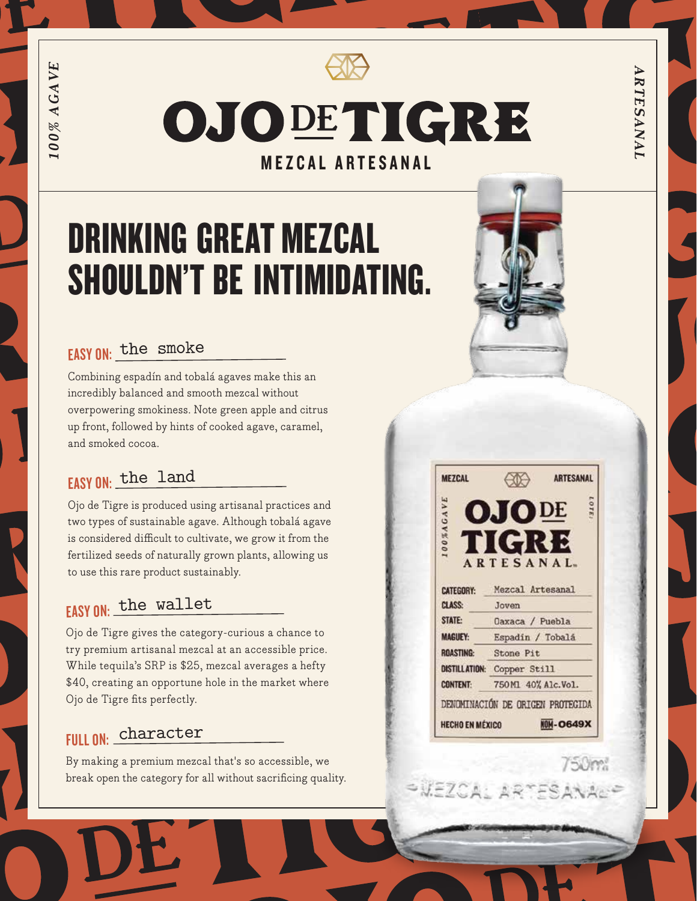100% AGAVE *100% AGAVE*

OJODETIGRE MEZCAL ARTESANAL

# DRINKING GREAT MEZCAL SHOULDN'T BE INTIMIDATING.

### EASY ON: the smoke

Combining espadín and tobalá agaves make this an incredibly balanced and smooth mezcal without overpowering smokiness. Note green apple and citrus up front, followed by hints of cooked agave, caramel, and smoked cocoa.

### EASY ON: the land

Ojo de Tigre is produced using artisanal practices and two types of sustainable agave. Although tobalá agave is considered difficult to cultivate, we grow it from the fertilized seeds of naturally grown plants, allowing us to use this rare product sustainably.

### EASY ON: the wallet

Ojo de Tigre gives the category-curious a chance to try premium artisanal mezcal at an accessible price. While tequila's SRP is \$25, mezcal averages a hefty \$40, creating an opportune hole in the market where Ojo de Tigre fits perfectly.

### FULL ON: character

By making a premium mezcal that's so accessible, we break open the category for all without sacrificing quality.



| <b>MEZCAL</b>          |                                  | <b>ARTESANAL</b> |
|------------------------|----------------------------------|------------------|
|                        | <b>OJODE</b>                     | <b>LOTE</b>      |
|                        |                                  |                  |
| 100%AGAVE              | TIGRE                            |                  |
|                        |                                  |                  |
|                        | <b>ARTESANAL</b>                 |                  |
| <b>CATEGORY:</b>       | Mezcal Artesanal                 |                  |
| <b>CLASS:</b>          | Joven                            |                  |
| STATE:                 | Daxaca / Puebla                  |                  |
| <b>MAGUEY:</b>         | Espadin / Tobalá                 |                  |
| <b>ROASTING:</b>       | Stone Pit                        |                  |
| <b>DISTILL ATION:</b>  | Copper Still                     |                  |
| <b>CONTENT:</b>        | 750Ml 40% Alc.Vol.               |                  |
|                        | DENOMINACIÓN DE ORIGEN PROTECIDA |                  |
| <b>HECHO EN MÉXICO</b> |                                  | <b>NOM-0649X</b> |

SWEZCAL ARTES

ARTESANAI *ARTESANAL*